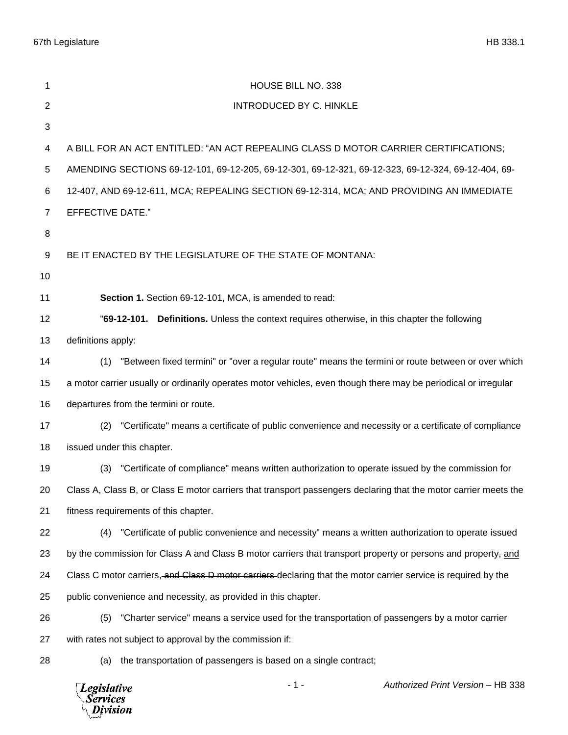| 1              | HOUSE BILL NO. 338                                                                                                        |
|----------------|---------------------------------------------------------------------------------------------------------------------------|
| $\overline{2}$ | <b>INTRODUCED BY C. HINKLE</b>                                                                                            |
| 3              |                                                                                                                           |
| 4              | A BILL FOR AN ACT ENTITLED: "AN ACT REPEALING CLASS D MOTOR CARRIER CERTIFICATIONS;                                       |
| 5              | AMENDING SECTIONS 69-12-101, 69-12-205, 69-12-301, 69-12-321, 69-12-323, 69-12-324, 69-12-404, 69-                        |
| 6              | 12-407, AND 69-12-611, MCA; REPEALING SECTION 69-12-314, MCA; AND PROVIDING AN IMMEDIATE                                  |
| $\overline{7}$ | <b>EFFECTIVE DATE."</b>                                                                                                   |
| 8              |                                                                                                                           |
| 9              | BE IT ENACTED BY THE LEGISLATURE OF THE STATE OF MONTANA:                                                                 |
| 10             |                                                                                                                           |
| 11             | Section 1. Section 69-12-101, MCA, is amended to read:                                                                    |
| 12             | "69-12-101. Definitions. Unless the context requires otherwise, in this chapter the following                             |
| 13             | definitions apply:                                                                                                        |
| 14             | (1) "Between fixed termini" or "over a regular route" means the termini or route between or over which                    |
| 15             | a motor carrier usually or ordinarily operates motor vehicles, even though there may be periodical or irregular           |
| 16             | departures from the termini or route.                                                                                     |
| 17             | "Certificate" means a certificate of public convenience and necessity or a certificate of compliance<br>(2)               |
| 18             | issued under this chapter.                                                                                                |
| 19             | "Certificate of compliance" means written authorization to operate issued by the commission for<br>(3)                    |
| 20             | Class A, Class B, or Class E motor carriers that transport passengers declaring that the motor carrier meets the          |
| 21             | fitness requirements of this chapter.                                                                                     |
| 22             | "Certificate of public convenience and necessity" means a written authorization to operate issued<br>(4)                  |
| 23             | by the commission for Class A and Class B motor carriers that transport property or persons and property <sub>r</sub> and |
| 24             | Class C motor carriers, and Class D motor carriers declaring that the motor carrier service is required by the            |
| 25             | public convenience and necessity, as provided in this chapter.                                                            |
| 26             | "Charter service" means a service used for the transportation of passengers by a motor carrier<br>(5)                     |
| 27             | with rates not subject to approval by the commission if:                                                                  |
| 28             | the transportation of passengers is based on a single contract;<br>(a)                                                    |
|                | $-1-$<br>Authorized Print Version - HB 338<br><b>Legislative</b><br><b>Services</b><br>Division                           |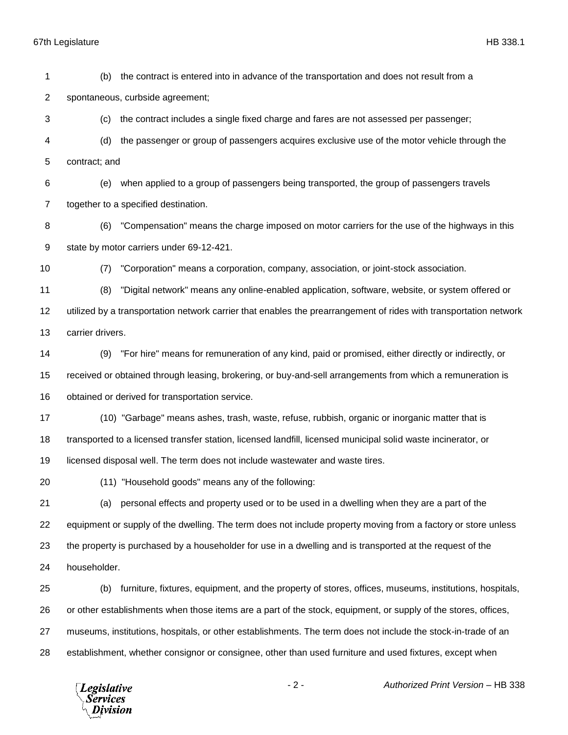spontaneous, curbside agreement;

 (c) the contract includes a single fixed charge and fares are not assessed per passenger; (d) the passenger or group of passengers acquires exclusive use of the motor vehicle through the contract; and (e) when applied to a group of passengers being transported, the group of passengers travels together to a specified destination. (6) "Compensation" means the charge imposed on motor carriers for the use of the highways in this state by motor carriers under 69-12-421. (7) "Corporation" means a corporation, company, association, or joint-stock association. (8) "Digital network" means any online-enabled application, software, website, or system offered or utilized by a transportation network carrier that enables the prearrangement of rides with transportation network carrier drivers. (9) "For hire" means for remuneration of any kind, paid or promised, either directly or indirectly, or received or obtained through leasing, brokering, or buy-and-sell arrangements from which a remuneration is obtained or derived for transportation service. (10) "Garbage" means ashes, trash, waste, refuse, rubbish, organic or inorganic matter that is transported to a licensed transfer station, licensed landfill, licensed municipal solid waste incinerator, or licensed disposal well. The term does not include wastewater and waste tires. (11) "Household goods" means any of the following: (a) personal effects and property used or to be used in a dwelling when they are a part of the equipment or supply of the dwelling. The term does not include property moving from a factory or store unless the property is purchased by a householder for use in a dwelling and is transported at the request of the householder. (b) furniture, fixtures, equipment, and the property of stores, offices, museums, institutions, hospitals, or other establishments when those items are a part of the stock, equipment, or supply of the stores, offices, museums, institutions, hospitals, or other establishments. The term does not include the stock-in-trade of an establishment, whether consignor or consignee, other than used furniture and used fixtures, except when - 2 - *Authorized Print Version* – HB 338 **Legislative** *Services* Division

(b) the contract is entered into in advance of the transportation and does not result from a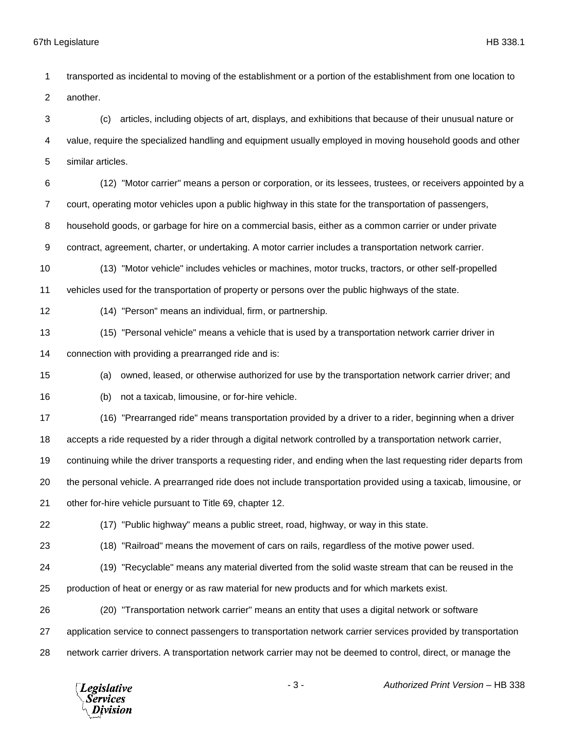transported as incidental to moving of the establishment or a portion of the establishment from one location to another.

 (c) articles, including objects of art, displays, and exhibitions that because of their unusual nature or value, require the specialized handling and equipment usually employed in moving household goods and other similar articles.

 (12) "Motor carrier" means a person or corporation, or its lessees, trustees, or receivers appointed by a court, operating motor vehicles upon a public highway in this state for the transportation of passengers, household goods, or garbage for hire on a commercial basis, either as a common carrier or under private contract, agreement, charter, or undertaking. A motor carrier includes a transportation network carrier.

 (13) "Motor vehicle" includes vehicles or machines, motor trucks, tractors, or other self-propelled vehicles used for the transportation of property or persons over the public highways of the state.

(14) "Person" means an individual, firm, or partnership.

(15) "Personal vehicle" means a vehicle that is used by a transportation network carrier driver in

connection with providing a prearranged ride and is:

(a) owned, leased, or otherwise authorized for use by the transportation network carrier driver; and

(b) not a taxicab, limousine, or for-hire vehicle.

(16) "Prearranged ride" means transportation provided by a driver to a rider, beginning when a driver

accepts a ride requested by a rider through a digital network controlled by a transportation network carrier,

continuing while the driver transports a requesting rider, and ending when the last requesting rider departs from

the personal vehicle. A prearranged ride does not include transportation provided using a taxicab, limousine, or

- other for-hire vehicle pursuant to Title 69, chapter 12.
- 

(17) "Public highway" means a public street, road, highway, or way in this state.

(18) "Railroad" means the movement of cars on rails, regardless of the motive power used.

(19) "Recyclable" means any material diverted from the solid waste stream that can be reused in the

production of heat or energy or as raw material for new products and for which markets exist.

(20) "Transportation network carrier" means an entity that uses a digital network or software

application service to connect passengers to transportation network carrier services provided by transportation

network carrier drivers. A transportation network carrier may not be deemed to control, direct, or manage the

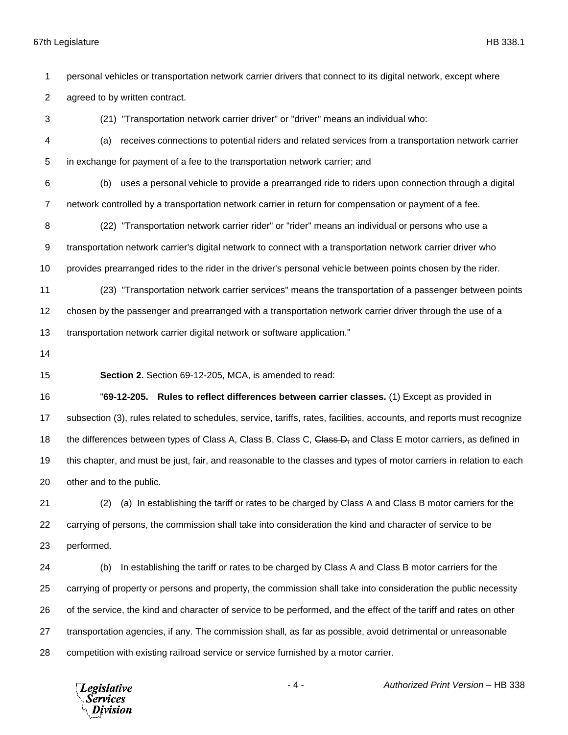personal vehicles or transportation network carrier drivers that connect to its digital network, except where

agreed to by written contract.

(21) "Transportation network carrier driver" or "driver" means an individual who:

 (a) receives connections to potential riders and related services from a transportation network carrier in exchange for payment of a fee to the transportation network carrier; and

 (b) uses a personal vehicle to provide a prearranged ride to riders upon connection through a digital network controlled by a transportation network carrier in return for compensation or payment of a fee.

(22) "Transportation network carrier rider" or "rider" means an individual or persons who use a

transportation network carrier's digital network to connect with a transportation network carrier driver who

provides prearranged rides to the rider in the driver's personal vehicle between points chosen by the rider.

- (23) "Transportation network carrier services" means the transportation of a passenger between points
- chosen by the passenger and prearranged with a transportation network carrier driver through the use of a

transportation network carrier digital network or software application."

**Section 2.** Section 69-12-205, MCA, is amended to read:

 "**69-12-205. Rules to reflect differences between carrier classes.** (1) Except as provided in subsection (3), rules related to schedules, service, tariffs, rates, facilities, accounts, and reports must recognize 18 the differences between types of Class A, Class B, Class C, Class D, and Class E motor carriers, as defined in this chapter, and must be just, fair, and reasonable to the classes and types of motor carriers in relation to each other and to the public.

 (2) (a) In establishing the tariff or rates to be charged by Class A and Class B motor carriers for the carrying of persons, the commission shall take into consideration the kind and character of service to be performed.

 (b) In establishing the tariff or rates to be charged by Class A and Class B motor carriers for the carrying of property or persons and property, the commission shall take into consideration the public necessity of the service, the kind and character of service to be performed, and the effect of the tariff and rates on other transportation agencies, if any. The commission shall, as far as possible, avoid detrimental or unreasonable competition with existing railroad service or service furnished by a motor carrier.

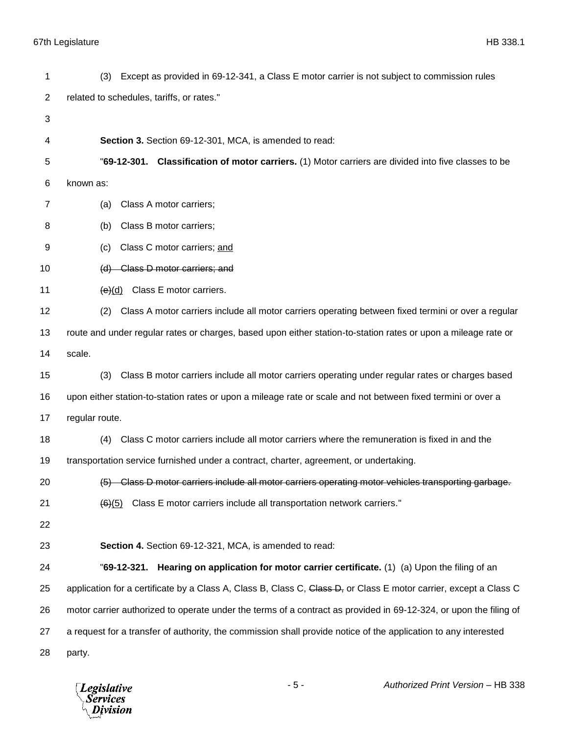(3) Except as provided in 69-12-341, a Class E motor carrier is not subject to commission rules related to schedules, tariffs, or rates." **Section 3.** Section 69-12-301, MCA, is amended to read: "**69-12-301. Classification of motor carriers.** (1) Motor carriers are divided into five classes to be known as: (a) Class A motor carriers; (b) Class B motor carriers; (c) Class C motor carriers; and (d) Class D motor carriers; and  $(e)(d)$  Class E motor carriers. (2) Class A motor carriers include all motor carriers operating between fixed termini or over a regular route and under regular rates or charges, based upon either station-to-station rates or upon a mileage rate or scale. (3) Class B motor carriers include all motor carriers operating under regular rates or charges based upon either station-to-station rates or upon a mileage rate or scale and not between fixed termini or over a regular route. (4) Class C motor carriers include all motor carriers where the remuneration is fixed in and the transportation service furnished under a contract, charter, agreement, or undertaking. (5) Class D motor carriers include all motor carriers operating motor vehicles transporting garbage.  $(6)(5)$  Class E motor carriers include all transportation network carriers." **Section 4.** Section 69-12-321, MCA, is amended to read: "**69-12-321. Hearing on application for motor carrier certificate.** (1) (a) Upon the filing of an 25 application for a certificate by a Class A, Class B, Class C, Class D, or Class E motor carrier, except a Class C motor carrier authorized to operate under the terms of a contract as provided in 69-12-324, or upon the filing of a request for a transfer of authority, the commission shall provide notice of the application to any interested party.

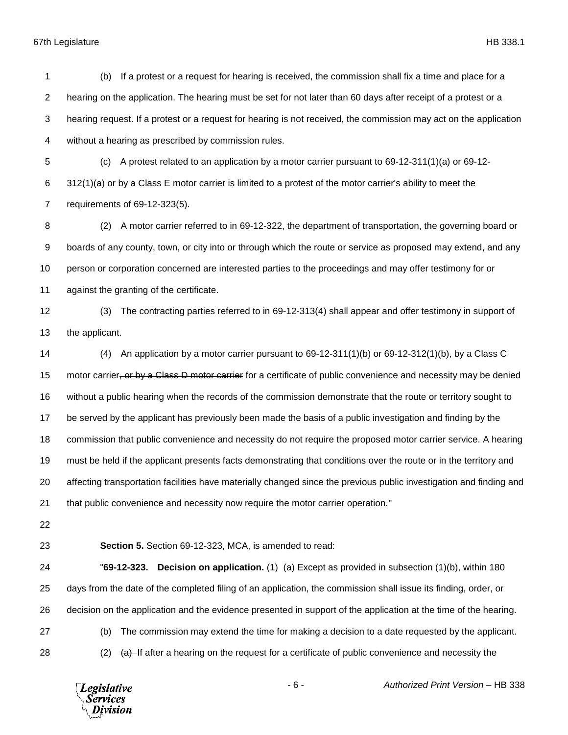(b) If a protest or a request for hearing is received, the commission shall fix a time and place for a hearing on the application. The hearing must be set for not later than 60 days after receipt of a protest or a hearing request. If a protest or a request for hearing is not received, the commission may act on the application without a hearing as prescribed by commission rules. (c) A protest related to an application by a motor carrier pursuant to 69-12-311(1)(a) or 69-12- 312(1)(a) or by a Class E motor carrier is limited to a protest of the motor carrier's ability to meet the requirements of 69-12-323(5). (2) A motor carrier referred to in 69-12-322, the department of transportation, the governing board or boards of any county, town, or city into or through which the route or service as proposed may extend, and any 10 person or corporation concerned are interested parties to the proceedings and may offer testimony for or against the granting of the certificate. (3) The contracting parties referred to in 69-12-313(4) shall appear and offer testimony in support of the applicant. (4) An application by a motor carrier pursuant to 69-12-311(1)(b) or 69-12-312(1)(b), by a Class C 15 motor carrier, or by a Class D motor carrier for a certificate of public convenience and necessity may be denied without a public hearing when the records of the commission demonstrate that the route or territory sought to be served by the applicant has previously been made the basis of a public investigation and finding by the commission that public convenience and necessity do not require the proposed motor carrier service. A hearing must be held if the applicant presents facts demonstrating that conditions over the route or in the territory and affecting transportation facilities have materially changed since the previous public investigation and finding and that public convenience and necessity now require the motor carrier operation." **Section 5.** Section 69-12-323, MCA, is amended to read:

 "**69-12-323. Decision on application.** (1) (a) Except as provided in subsection (1)(b), within 180 days from the date of the completed filing of an application, the commission shall issue its finding, order, or decision on the application and the evidence presented in support of the application at the time of the hearing. (b) The commission may extend the time for making a decision to a date requested by the applicant.

28 (2)  $\leftrightarrow$  16 after a hearing on the request for a certificate of public convenience and necessity the

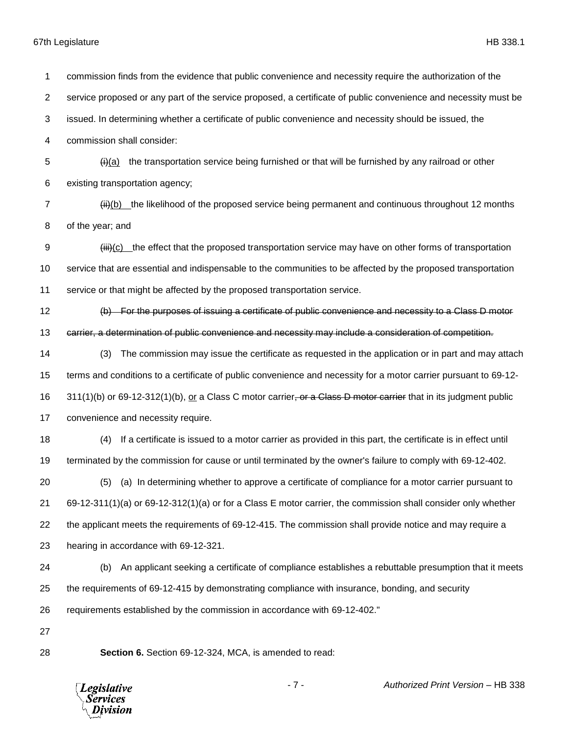commission finds from the evidence that public convenience and necessity require the authorization of the service proposed or any part of the service proposed, a certificate of public convenience and necessity must be issued. In determining whether a certificate of public convenience and necessity should be issued, the commission shall consider:  $\frac{1}{2}$  (i)(a) the transportation service being furnished or that will be furnished by any railroad or other existing transportation agency; 7 (iii)(b) the likelihood of the proposed service being permanent and continuous throughout 12 months of the year; and 9 (iii)(c) the effect that the proposed transportation service may have on other forms of transportation service that are essential and indispensable to the communities to be affected by the proposed transportation service or that might be affected by the proposed transportation service. (b) For the purposes of issuing a certificate of public convenience and necessity to a Class D motor carrier, a determination of public convenience and necessity may include a consideration of competition. (3) The commission may issue the certificate as requested in the application or in part and may attach terms and conditions to a certificate of public convenience and necessity for a motor carrier pursuant to 69-12- 16 311(1)(b) or 69-12-312(1)(b), or a Class C motor carrier, or a Class D motor carrier that in its judgment public convenience and necessity require. (4) If a certificate is issued to a motor carrier as provided in this part, the certificate is in effect until terminated by the commission for cause or until terminated by the owner's failure to comply with 69-12-402. (5) (a) In determining whether to approve a certificate of compliance for a motor carrier pursuant to 69-12-311(1)(a) or 69-12-312(1)(a) or for a Class E motor carrier, the commission shall consider only whether the applicant meets the requirements of 69-12-415. The commission shall provide notice and may require a hearing in accordance with 69-12-321. (b) An applicant seeking a certificate of compliance establishes a rebuttable presumption that it meets the requirements of 69-12-415 by demonstrating compliance with insurance, bonding, and security requirements established by the commission in accordance with 69-12-402." **Section 6.** Section 69-12-324, MCA, is amended to read:

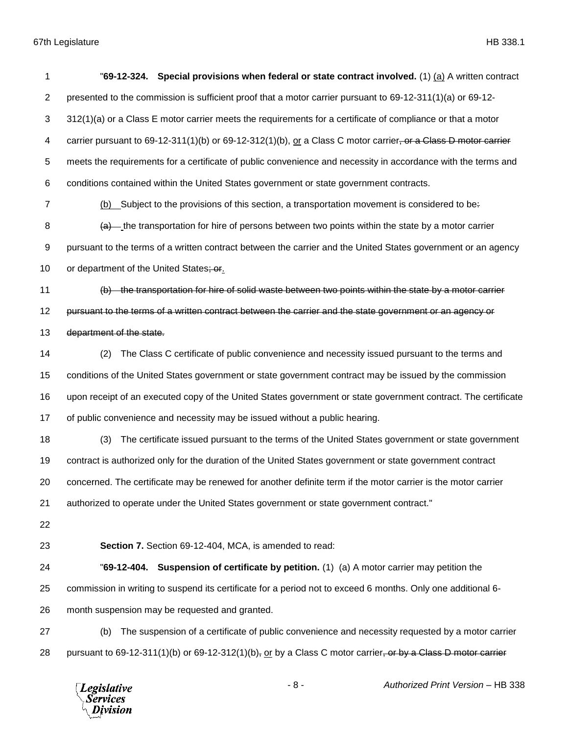| 1              | Special provisions when federal or state contract involved. (1) (a) A written contract<br>"69-12-324.          |
|----------------|----------------------------------------------------------------------------------------------------------------|
| $\overline{2}$ | presented to the commission is sufficient proof that a motor carrier pursuant to 69-12-311(1)(a) or 69-12-     |
| 3              | 312(1)(a) or a Class E motor carrier meets the requirements for a certificate of compliance or that a motor    |
| 4              | carrier pursuant to 69-12-311(1)(b) or 69-12-312(1)(b), or a Class C motor carrier, or a Class D motor carrier |
| 5              | meets the requirements for a certificate of public convenience and necessity in accordance with the terms and  |
| 6              | conditions contained within the United States government or state government contracts.                        |
| 7              | (b) Subject to the provisions of this section, a transportation movement is considered to be-                  |
| 8              | $(a)$ the transportation for hire of persons between two points within the state by a motor carrier            |
| 9              | pursuant to the terms of a written contract between the carrier and the United States government or an agency  |
| 10             | or department of the United States; or                                                                         |
| 11             | (b) the transportation for hire of solid waste between two points within the state by a motor carrier          |
| 12             | pursuant to the terms of a written contract between the carrier and the state government or an agency or       |
| 13             | department of the state.                                                                                       |
| 14             | The Class C certificate of public convenience and necessity issued pursuant to the terms and<br>(2)            |
| 15             | conditions of the United States government or state government contract may be issued by the commission        |
| 16             | upon receipt of an executed copy of the United States government or state government contract. The certificate |
| 17             | of public convenience and necessity may be issued without a public hearing.                                    |
| 18             | The certificate issued pursuant to the terms of the United States government or state government<br>(3)        |
| 19             | contract is authorized only for the duration of the United States government or state government contract      |
| 20             | concerned. The certificate may be renewed for another definite term if the motor carrier is the motor carrier  |
| 21             | authorized to operate under the United States government or state government contract."                        |
| 22             |                                                                                                                |
| 23             | Section 7. Section 69-12-404, MCA, is amended to read:                                                         |
| 24             | "69-12-404. Suspension of certificate by petition. (1) (a) A motor carrier may petition the                    |
| 25             | commission in writing to suspend its certificate for a period not to exceed 6 months. Only one additional 6-   |
| 26             | month suspension may be requested and granted.                                                                 |
| 27             | The suspension of a certificate of public convenience and necessity requested by a motor carrier<br>(b)        |
| 28             | pursuant to 69-12-311(1)(b) or 69-12-312(1)(b), or by a Class C motor carrier, or by a Class D motor carrier   |
|                |                                                                                                                |

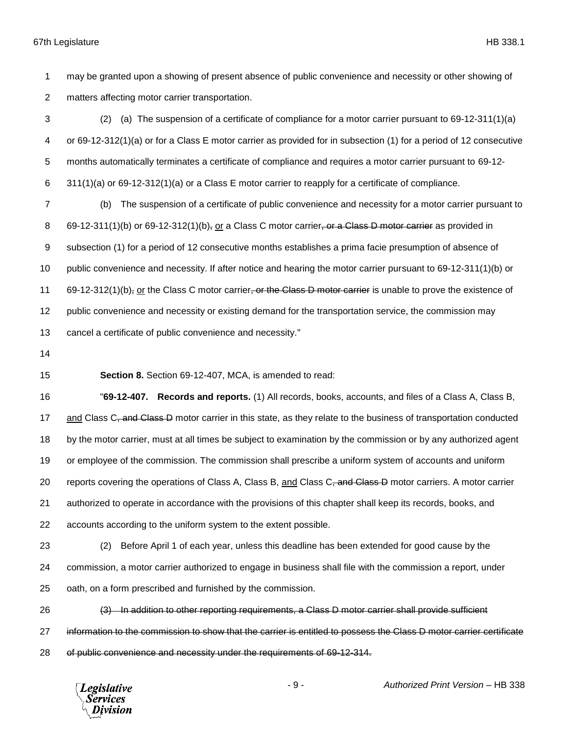may be granted upon a showing of present absence of public convenience and necessity or other showing of matters affecting motor carrier transportation.

 (2) (a) The suspension of a certificate of compliance for a motor carrier pursuant to 69-12-311(1)(a) or 69-12-312(1)(a) or for a Class E motor carrier as provided for in subsection (1) for a period of 12 consecutive months automatically terminates a certificate of compliance and requires a motor carrier pursuant to 69-12- 311(1)(a) or 69-12-312(1)(a) or a Class E motor carrier to reapply for a certificate of compliance.

 (b) The suspension of a certificate of public convenience and necessity for a motor carrier pursuant to 8 69-12-311(1)(b) or 69-12-312(1)(b), or a Class C motor carrier, or a Class D motor carrier as provided in subsection (1) for a period of 12 consecutive months establishes a prima facie presumption of absence of public convenience and necessity. If after notice and hearing the motor carrier pursuant to 69-12-311(1)(b) or 11 69-12-312(1)(b)<sub>r</sub> or the Class C motor carrier, or the Class D motor carrier is unable to prove the existence of public convenience and necessity or existing demand for the transportation service, the commission may cancel a certificate of public convenience and necessity."

**Section 8.** Section 69-12-407, MCA, is amended to read:

 "**69-12-407. Records and reports.** (1) All records, books, accounts, and files of a Class A, Class B, 17 and Class C, and Class D motor carrier in this state, as they relate to the business of transportation conducted by the motor carrier, must at all times be subject to examination by the commission or by any authorized agent or employee of the commission. The commission shall prescribe a uniform system of accounts and uniform 20 reports covering the operations of Class A, Class B, and Class C<del>, and Class D</del> motor carriers. A motor carrier authorized to operate in accordance with the provisions of this chapter shall keep its records, books, and accounts according to the uniform system to the extent possible.

 (2) Before April 1 of each year, unless this deadline has been extended for good cause by the commission, a motor carrier authorized to engage in business shall file with the commission a report, under oath, on a form prescribed and furnished by the commission.

 (3) In addition to other reporting requirements, a Class D motor carrier shall provide sufficient 27 information to the commission to show that the carrier is entitled to possess the Class D motor carrier certificate of public convenience and necessity under the requirements of 69-12-314.

**Legislative** Services ivision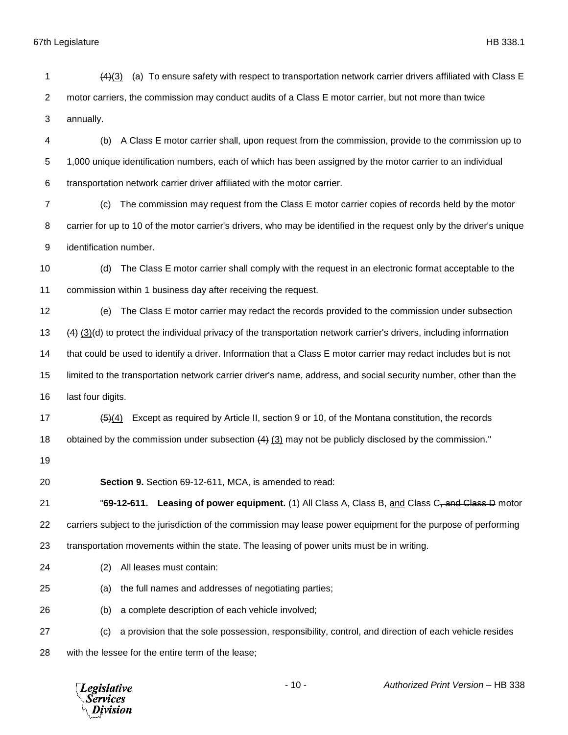annually. (b) A Class E motor carrier shall, upon request from the commission, provide to the commission up to 1,000 unique identification numbers, each of which has been assigned by the motor carrier to an individual transportation network carrier driver affiliated with the motor carrier. (c) The commission may request from the Class E motor carrier copies of records held by the motor carrier for up to 10 of the motor carrier's drivers, who may be identified in the request only by the driver's unique identification number. (d) The Class E motor carrier shall comply with the request in an electronic format acceptable to the commission within 1 business day after receiving the request. (e) The Class E motor carrier may redact the records provided to the commission under subsection (4) (3)(d) to protect the individual privacy of the transportation network carrier's drivers, including information that could be used to identify a driver. Information that a Class E motor carrier may redact includes but is not limited to the transportation network carrier driver's name, address, and social security number, other than the last four digits. 17 (5)(4) Except as required by Article II, section 9 or 10, of the Montana constitution, the records 18 obtained by the commission under subsection  $(4)$   $(3)$  may not be publicly disclosed by the commission." **Section 9.** Section 69-12-611, MCA, is amended to read: "**69-12-611. Leasing of power equipment.** (1) All Class A, Class B, and Class C, and Class D motor carriers subject to the jurisdiction of the commission may lease power equipment for the purpose of performing transportation movements within the state. The leasing of power units must be in writing. (2) All leases must contain: (a) the full names and addresses of negotiating parties; (b) a complete description of each vehicle involved; (c) a provision that the sole possession, responsibility, control, and direction of each vehicle resides with the lessee for the entire term of the lease;- 10 - *Authorized Print Version* – HB 338 **Legislative** Services Division

(4)(3) (a) To ensure safety with respect to transportation network carrier drivers affiliated with Class E

motor carriers, the commission may conduct audits of a Class E motor carrier, but not more than twice